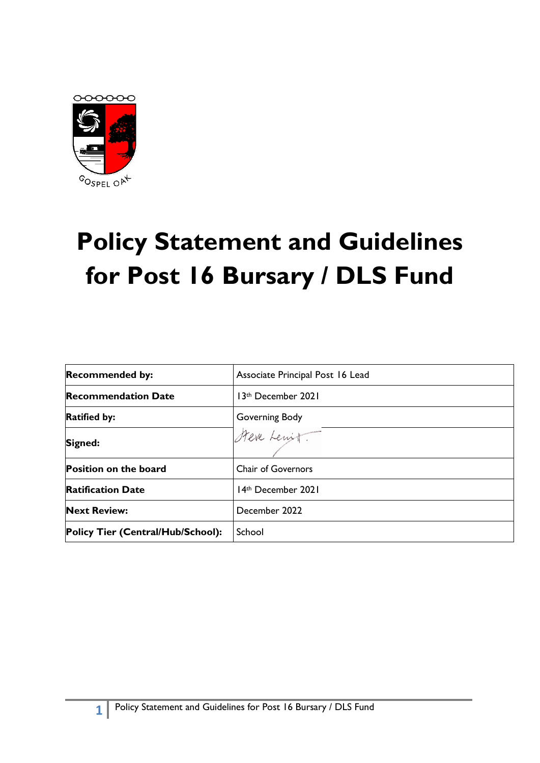

# **Policy Statement and Guidelines for Post 16 Bursary / DLS Fund**

| <b>Recommended by:</b>            | Associate Principal Post 16 Lead |
|-----------------------------------|----------------------------------|
| <b>Recommendation Date</b>        | 13th December 2021               |
| <b>Ratified by:</b>               | Governing Body                   |
| Signed:                           | Steve Lewit                      |
| <b>Position on the board</b>      | <b>Chair of Governors</b>        |
| <b>Ratification Date</b>          | 14th December 2021               |
| <b>Next Review:</b>               | December 2022                    |
| Policy Tier (Central/Hub/School): | School                           |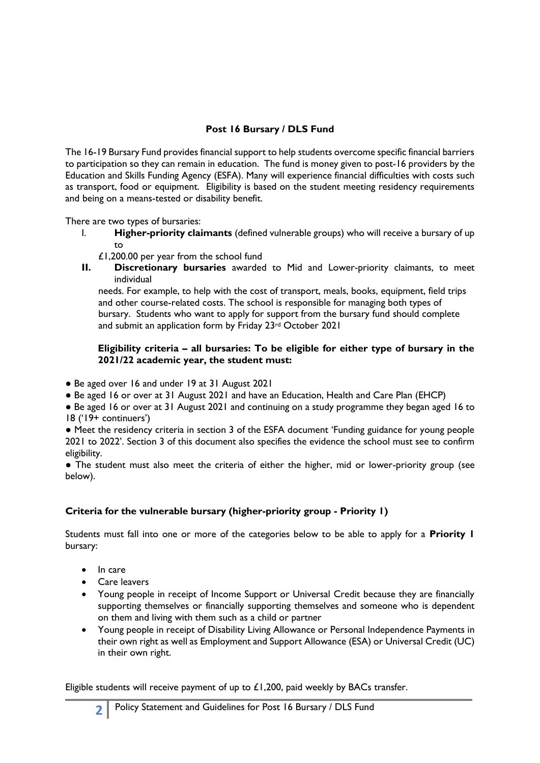# **Post 16 Bursary / DLS Fund**

The 16-19 Bursary Fund provides financial support to help students overcome specific financial barriers to participation so they can remain in education. The fund is money given to post-16 providers by the Education and Skills Funding Agency (ESFA). Many will experience financial difficulties with costs such as transport, food or equipment. Eligibility is based on the student meeting residency requirements and being on a means-tested or disability benefit.

There are two types of bursaries:

- I. **Higher-priority claimants** (defined vulnerable groups) who will receive a bursary of up to
	- £1,200.00 per year from the school fund
- **II. Discretionary bursaries** awarded to Mid and Lower-priority claimants, to meet individual

 needs. For example, to help with the cost of transport, meals, books, equipment, field trips and other course-related costs. The school is responsible for managing both types of bursary. Students who want to apply for support from the bursary fund should complete and submit an application form by Friday 23rd October 2021

#### **Eligibility criteria – all bursaries: To be eligible for either type of bursary in the 2021/22 academic year, the student must:**

- Be aged over 16 and under 19 at 31 August 2021
- Be aged 16 or over at 31 August 2021 and have an Education, Health and Care Plan (EHCP)

● Be aged 16 or over at 31 August 2021 and continuing on a study programme they began aged 16 to 18 ('19+ continuers')

● Meet the residency criteria in section 3 of the ESFA document 'Funding guidance for young people 2021 to 2022'. Section 3 of this document also specifies the evidence the school must see to confirm eligibility.

● The student must also meet the criteria of either the higher, mid or lower-priority group (see below).

# **Criteria for the vulnerable bursary (higher-priority group - Priority 1)**

Students must fall into one or more of the categories below to be able to apply for a **Priority 1** bursary:

- In care
- Care leavers
- Young people in receipt of Income Support or Universal Credit because they are financially supporting themselves or financially supporting themselves and someone who is dependent on them and living with them such as a child or partner
- Young people in receipt of Disability Living Allowance or Personal Independence Payments in their own right as well as Employment and Support Allowance (ESA) or Universal Credit (UC) in their own right.

Eligible students will receive payment of up to  $£1,200$ , paid weekly by BACs transfer.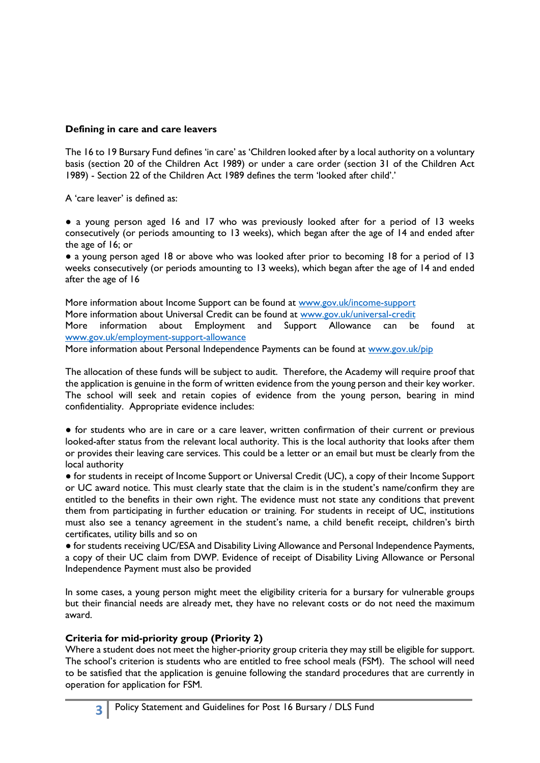#### **Defining in care and care leavers**

The 16 to 19 Bursary Fund defines 'in care' as 'Children looked after by a local authority on a voluntary basis (section 20 of the Children Act 1989) or under a care order (section 31 of the Children Act 1989) - Section 22 of the Children Act 1989 defines the term 'looked after child'.'

A 'care leaver' is defined as:

● a young person aged 16 and 17 who was previously looked after for a period of 13 weeks consecutively (or periods amounting to 13 weeks), which began after the age of 14 and ended after the age of 16; or

● a young person aged 18 or above who was looked after prior to becoming 18 for a period of 13 weeks consecutively (or periods amounting to 13 weeks), which began after the age of 14 and ended after the age of 16

More information about Income Support can be found at [www.gov.uk/income-support](http://www.gov.uk/income-support) More information about Universal Credit can be found at [www.gov.uk/universal-credit](http://www.gov.uk/universal-credit) More information about Employment and Support Allowance can be found at [www.gov.uk/employment-support-allowance](http://www.gov.uk/employment-support-allowance)

More information about Personal Independence Payments can be found at [www.gov.uk/pip](http://www.gov.uk/pip)

The allocation of these funds will be subject to audit. Therefore, the Academy will require proof that the application is genuine in the form of written evidence from the young person and their key worker. The school will seek and retain copies of evidence from the young person, bearing in mind confidentiality. Appropriate evidence includes:

● for students who are in care or a care leaver, written confirmation of their current or previous looked-after status from the relevant local authority. This is the local authority that looks after them or provides their leaving care services. This could be a letter or an email but must be clearly from the local authority

● for students in receipt of Income Support or Universal Credit (UC), a copy of their Income Support or UC award notice. This must clearly state that the claim is in the student's name/confirm they are entitled to the benefits in their own right. The evidence must not state any conditions that prevent them from participating in further education or training. For students in receipt of UC, institutions must also see a tenancy agreement in the student's name, a child benefit receipt, children's birth certificates, utility bills and so on

● for students receiving UC/ESA and Disability Living Allowance and Personal Independence Payments, a copy of their UC claim from DWP. Evidence of receipt of Disability Living Allowance or Personal Independence Payment must also be provided

In some cases, a young person might meet the eligibility criteria for a bursary for vulnerable groups but their financial needs are already met, they have no relevant costs or do not need the maximum award.

#### **Criteria for mid-priority group (Priority 2)**

Where a student does not meet the higher-priority group criteria they may still be eligible for support. The school's criterion is students who are entitled to free school meals (FSM). The school will need to be satisfied that the application is genuine following the standard procedures that are currently in operation for application for FSM.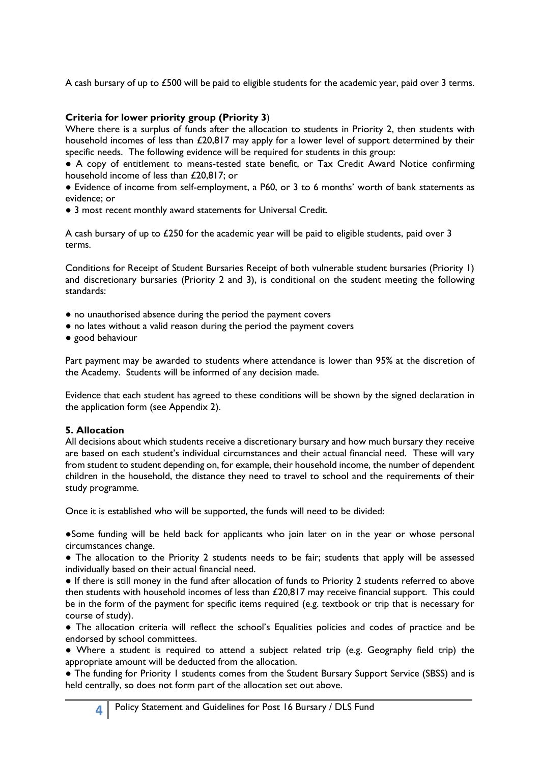A cash bursary of up to £500 will be paid to eligible students for the academic year, paid over 3 terms.

## **Criteria for lower priority group (Priority 3**)

Where there is a surplus of funds after the allocation to students in Priority 2, then students with household incomes of less than £20,817 may apply for a lower level of support determined by their specific needs. The following evidence will be required for students in this group:

● A copy of entitlement to means-tested state benefit, or Tax Credit Award Notice confirming household income of less than £20,817; or

● Evidence of income from self-employment, a P60, or 3 to 6 months' worth of bank statements as evidence; or

• 3 most recent monthly award statements for Universal Credit.

A cash bursary of up to £250 for the academic year will be paid to eligible students, paid over 3 terms.

Conditions for Receipt of Student Bursaries Receipt of both vulnerable student bursaries (Priority 1) and discretionary bursaries (Priority 2 and 3), is conditional on the student meeting the following standards:

- no unauthorised absence during the period the payment covers
- no lates without a valid reason during the period the payment covers
- good behaviour

Part payment may be awarded to students where attendance is lower than 95% at the discretion of the Academy. Students will be informed of any decision made.

Evidence that each student has agreed to these conditions will be shown by the signed declaration in the application form (see Appendix 2).

## **5. Allocation**

All decisions about which students receive a discretionary bursary and how much bursary they receive are based on each student's individual circumstances and their actual financial need. These will vary from student to student depending on, for example, their household income, the number of dependent children in the household, the distance they need to travel to school and the requirements of their study programme.

Once it is established who will be supported, the funds will need to be divided:

●Some funding will be held back for applicants who join later on in the year or whose personal circumstances change.

• The allocation to the Priority 2 students needs to be fair; students that apply will be assessed individually based on their actual financial need.

● If there is still money in the fund after allocation of funds to Priority 2 students referred to above then students with household incomes of less than £20,817 may receive financial support. This could be in the form of the payment for specific items required (e.g. textbook or trip that is necessary for course of study).

● The allocation criteria will reflect the school's Equalities policies and codes of practice and be endorsed by school committees.

● Where a student is required to attend a subject related trip (e.g. Geography field trip) the appropriate amount will be deducted from the allocation.

● The funding for Priority 1 students comes from the Student Bursary Support Service (SBSS) and is held centrally, so does not form part of the allocation set out above.